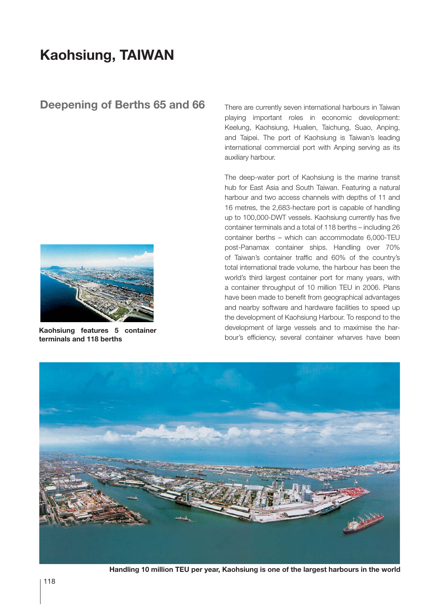## **Kaohsiung, TAIWAN**

## **Deepening of Berths 65 and 66**



**Kaohsiung features 5 container terminals and 118 berths**

There are currently seven international harbours in Taiwan playing important roles in economic development: Keelung, Kaohsiung, Hualien, Taichung, Suao, Anping, and Taipei. The port of Kaohsiung is Taiwan's leading international commercial port with Anping serving as its auxiliary harbour.

The deep-water port of Kaohsiung is the marine transit hub for East Asia and South Taiwan. Featuring a natural harbour and two access channels with depths of 11 and 16 metres, the 2,683-hectare port is capable of handling up to 100,000-DWT vessels. Kaohsiung currently has five container terminals and a total of 118 berths – including 26 container berths – which can accommodate 6,000-TEU post-Panamax container ships. Handling over 70% of Taiwan's container traffic and 60% of the country's total international trade volume, the harbour has been the world's third largest container port for many years, with a container throughput of 10 million TEU in 2006. Plans have been made to benefit from geographical advantages and nearby software and hardware facilities to speed up the development of Kaohsiung Harbour. To respond to the development of large vessels and to maximise the harbour's efficiency, several container wharves have been



**Handling 10 million TEU per year, Kaohsiung is one of the largest harbours in the world**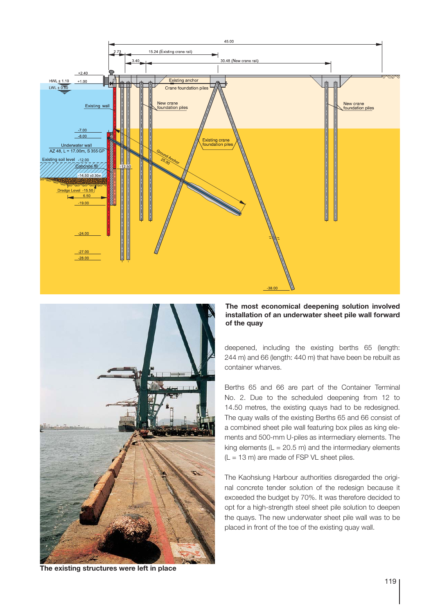



## **The most economical deepening solution involved installation of an underwater sheet pile wall forward of the quay**

deepened, including the existing berths 65 (length: 244 m) and 66 (length: 440 m) that have been be rebuilt as container wharves.

Berths 65 and 66 are part of the Container Terminal No. 2. Due to the scheduled deepening from 12 to 14.50 metres, the existing quays had to be redesigned. The quay walls of the existing Berths 65 and 66 consist of a combined sheet pile wall featuring box piles as king elements and 500-mm U-piles as intermediary elements. The king elements ( $L = 20.5$  m) and the intermediary elements  $(L = 13 \text{ m})$  are made of FSP VL sheet piles.

The Kaohsiung Harbour authorities disregarded the original concrete tender solution of the redesign because it exceeded the budget by 70%. It was therefore decided to opt for a high-strength steel sheet pile solution to deepen the quays. The new underwater sheet pile wall was to be placed in front of the toe of the existing quay wall.

**The existing structures were left in place**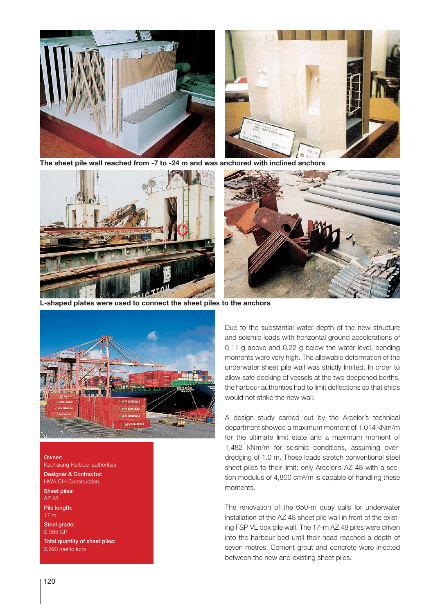

**The sheet pile wall reached from -7 to -24 m and was anchored with inclined anchors**





**L-shaped plates were used to connect the sheet piles to the anchors**



Owner: Kaohsiung Harbour authorities Designer & Contractor:

HWA CHI Construction Sheet piles: AZ 48 Pile length: 17 m Steel grade: S 355 GP Total quantity of sheet piles: 2,690 metric tons

Due to the substantial water depth of the new structure and seismic loads with horizontal ground accelerations of 0.11 g above and 0.22 g below the water level, bending moments were very high. The allowable deformation of the underwater sheet pile wall was strictly limited. In order to allow safe docking of vessels at the two deepened berths, the harbour authorities had to limit deflections so that ships would not strike the new wall.

A design study carried out by the Arcelor's technical department showed a maximum moment of 1,014 kNm/m for the ultimate limit state and a maximum moment of 1,482 kNm/m for seismic conditions, assuming overdredging of 1.0 m. These loads stretch conventional steel sheet piles to their limit: only Arcelor's AZ 48 with a section modulus of 4,800 cm<sup>3</sup>/m is capable of handling these moments.

The renovation of the 650-m quay calls for underwater installation of the AZ 48 sheet pile wall in front of the existing FSP VL box pile wall. The 17-m AZ 48 piles were driven into the harbour bed until their head reached a depth of seven metres. Cement grout and concrete were injected between the new and existing sheet piles.